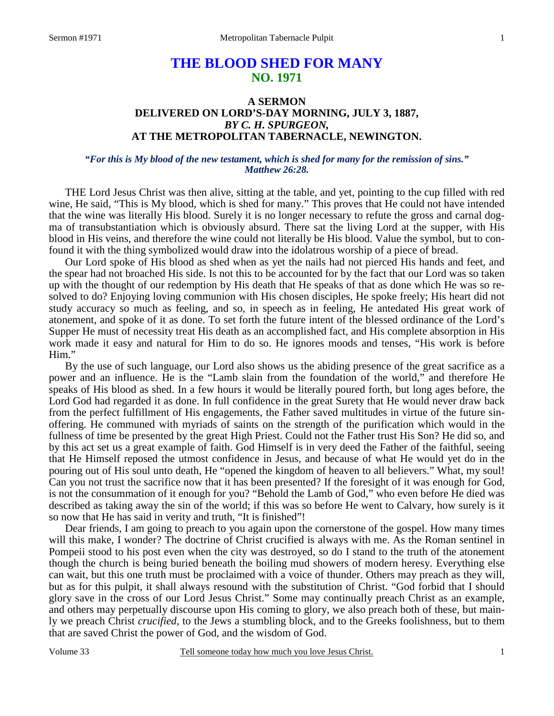# **THE BLOOD SHED FOR MANY NO. 1971**

# **A SERMON DELIVERED ON LORD'S-DAY MORNING, JULY 3, 1887,**  *BY C. H. SPURGEON,*  **AT THE METROPOLITAN TABERNACLE, NEWINGTON.**

#### *"For this is My blood of the new testament, which is shed for many for the remission of sins." Matthew 26:28.*

THE Lord Jesus Christ was then alive, sitting at the table, and yet, pointing to the cup filled with red wine, He said, "This is My blood, which is shed for many." This proves that He could not have intended that the wine was literally His blood. Surely it is no longer necessary to refute the gross and carnal dogma of transubstantiation which is obviously absurd. There sat the living Lord at the supper, with His blood in His veins, and therefore the wine could not literally be His blood. Value the symbol, but to confound it with the thing symbolized would draw into the idolatrous worship of a piece of bread.

Our Lord spoke of His blood as shed when as yet the nails had not pierced His hands and feet, and the spear had not broached His side. Is not this to be accounted for by the fact that our Lord was so taken up with the thought of our redemption by His death that He speaks of that as done which He was so resolved to do? Enjoying loving communion with His chosen disciples, He spoke freely; His heart did not study accuracy so much as feeling, and so, in speech as in feeling, He antedated His great work of atonement, and spoke of it as done. To set forth the future intent of the blessed ordinance of the Lord's Supper He must of necessity treat His death as an accomplished fact, and His complete absorption in His work made it easy and natural for Him to do so. He ignores moods and tenses, "His work is before Him."

By the use of such language, our Lord also shows us the abiding presence of the great sacrifice as a power and an influence. He is the "Lamb slain from the foundation of the world," and therefore He speaks of His blood as shed. In a few hours it would be literally poured forth, but long ages before, the Lord God had regarded it as done. In full confidence in the great Surety that He would never draw back from the perfect fulfillment of His engagements, the Father saved multitudes in virtue of the future sinoffering. He communed with myriads of saints on the strength of the purification which would in the fullness of time be presented by the great High Priest. Could not the Father trust His Son? He did so, and by this act set us a great example of faith. God Himself is in very deed the Father of the faithful, seeing that He Himself reposed the utmost confidence in Jesus, and because of what He would yet do in the pouring out of His soul unto death, He "opened the kingdom of heaven to all believers." What, my soul! Can you not trust the sacrifice now that it has been presented? If the foresight of it was enough for God, is not the consummation of it enough for you? "Behold the Lamb of God," who even before He died was described as taking away the sin of the world; if this was so before He went to Calvary, how surely is it so now that He has said in verity and truth, "It is finished"!

Dear friends, I am going to preach to you again upon the cornerstone of the gospel. How many times will this make, I wonder? The doctrine of Christ crucified is always with me. As the Roman sentinel in Pompeii stood to his post even when the city was destroyed, so do I stand to the truth of the atonement though the church is being buried beneath the boiling mud showers of modern heresy. Everything else can wait, but this one truth must be proclaimed with a voice of thunder. Others may preach as they will, but as for this pulpit, it shall always resound with the substitution of Christ. "God forbid that I should glory save in the cross of our Lord Jesus Christ." Some may continually preach Christ as an example, and others may perpetually discourse upon His coming to glory, we also preach both of these, but mainly we preach Christ *crucified,* to the Jews a stumbling block, and to the Greeks foolishness, but to them that are saved Christ the power of God, and the wisdom of God.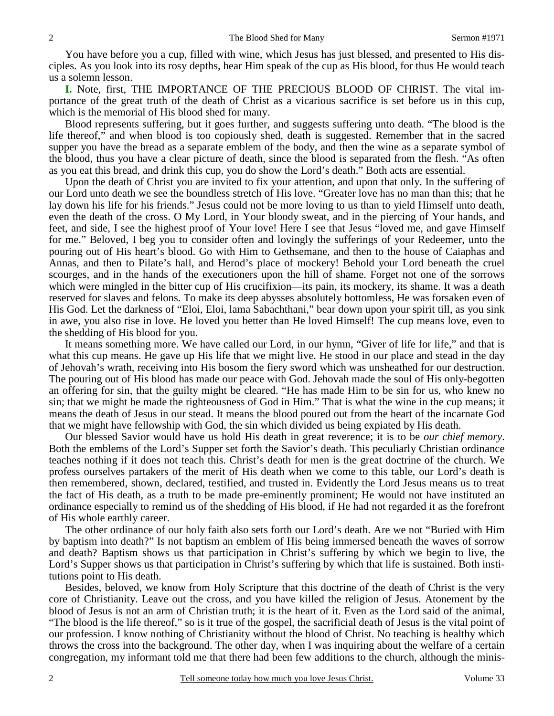You have before you a cup, filled with wine, which Jesus has just blessed, and presented to His disciples. As you look into its rosy depths, hear Him speak of the cup as His blood, for thus He would teach us a solemn lesson.

**I.** Note, first, THE IMPORTANCE OF THE PRECIOUS BLOOD OF CHRIST. The vital importance of the great truth of the death of Christ as a vicarious sacrifice is set before us in this cup, which is the memorial of His blood shed for many.

Blood represents suffering, but it goes further, and suggests suffering unto death. "The blood is the life thereof," and when blood is too copiously shed, death is suggested. Remember that in the sacred supper you have the bread as a separate emblem of the body, and then the wine as a separate symbol of the blood, thus you have a clear picture of death, since the blood is separated from the flesh. "As often as you eat this bread, and drink this cup, you do show the Lord's death." Both acts are essential.

Upon the death of Christ you are invited to fix your attention, and upon that only. In the suffering of our Lord unto death we see the boundless stretch of His love. "Greater love has no man than this; that he lay down his life for his friends." Jesus could not be more loving to us than to yield Himself unto death, even the death of the cross. O My Lord, in Your bloody sweat, and in the piercing of Your hands, and feet, and side, I see the highest proof of Your love! Here I see that Jesus "loved me, and gave Himself for me." Beloved, I beg you to consider often and lovingly the sufferings of your Redeemer, unto the pouring out of His heart's blood. Go with Him to Gethsemane, and then to the house of Caiaphas and Annas, and then to Pilate's hall, and Herod's place of mockery! Behold your Lord beneath the cruel scourges, and in the hands of the executioners upon the hill of shame. Forget not one of the sorrows which were mingled in the bitter cup of His crucifixion—its pain, its mockery, its shame. It was a death reserved for slaves and felons. To make its deep abysses absolutely bottomless, He was forsaken even of His God. Let the darkness of "Eloi, Eloi, lama Sabachthani," bear down upon your spirit till, as you sink in awe, you also rise in love. He loved you better than He loved Himself! The cup means love, even to the shedding of His blood for you.

It means something more. We have called our Lord, in our hymn, "Giver of life for life," and that is what this cup means. He gave up His life that we might live. He stood in our place and stead in the day of Jehovah's wrath, receiving into His bosom the fiery sword which was unsheathed for our destruction. The pouring out of His blood has made our peace with God. Jehovah made the soul of His only-begotten an offering for sin, that the guilty might be cleared. "He has made Him to be sin for us, who knew no sin; that we might be made the righteousness of God in Him." That is what the wine in the cup means; it means the death of Jesus in our stead. It means the blood poured out from the heart of the incarnate God that we might have fellowship with God, the sin which divided us being expiated by His death.

Our blessed Savior would have us hold His death in great reverence; it is to be *our chief memory*. Both the emblems of the Lord's Supper set forth the Savior's death. This peculiarly Christian ordinance teaches nothing if it does not teach this. Christ's death for men is the great doctrine of the church. We profess ourselves partakers of the merit of His death when we come to this table, our Lord's death is then remembered, shown, declared, testified, and trusted in. Evidently the Lord Jesus means us to treat the fact of His death, as a truth to be made pre-eminently prominent; He would not have instituted an ordinance especially to remind us of the shedding of His blood, if He had not regarded it as the forefront of His whole earthly career.

The other ordinance of our holy faith also sets forth our Lord's death. Are we not "Buried with Him by baptism into death?" Is not baptism an emblem of His being immersed beneath the waves of sorrow and death? Baptism shows us that participation in Christ's suffering by which we begin to live, the Lord's Supper shows us that participation in Christ's suffering by which that life is sustained. Both institutions point to His death.

Besides, beloved, we know from Holy Scripture that this doctrine of the death of Christ is the very core of Christianity. Leave out the cross, and you have killed the religion of Jesus. Atonement by the blood of Jesus is not an arm of Christian truth; it is the heart of it. Even as the Lord said of the animal, "The blood is the life thereof," so is it true of the gospel, the sacrificial death of Jesus is the vital point of our profession. I know nothing of Christianity without the blood of Christ. No teaching is healthy which throws the cross into the background. The other day, when I was inquiring about the welfare of a certain congregation, my informant told me that there had been few additions to the church, although the minis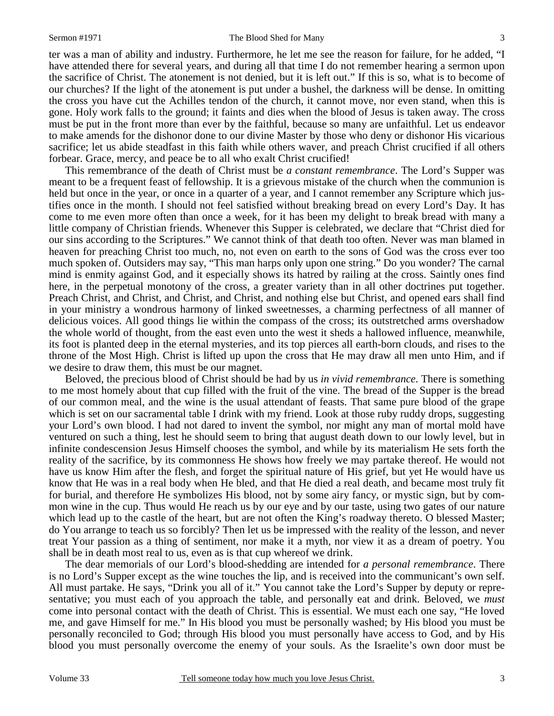ter was a man of ability and industry. Furthermore, he let me see the reason for failure, for he added, "I have attended there for several years, and during all that time I do not remember hearing a sermon upon the sacrifice of Christ. The atonement is not denied, but it is left out." If this is so, what is to become of our churches? If the light of the atonement is put under a bushel, the darkness will be dense. In omitting the cross you have cut the Achilles tendon of the church, it cannot move, nor even stand, when this is gone. Holy work falls to the ground; it faints and dies when the blood of Jesus is taken away. The cross must be put in the front more than ever by the faithful, because so many are unfaithful. Let us endeavor to make amends for the dishonor done to our divine Master by those who deny or dishonor His vicarious sacrifice; let us abide steadfast in this faith while others waver, and preach Christ crucified if all others forbear. Grace, mercy, and peace be to all who exalt Christ crucified!

This remembrance of the death of Christ must be *a constant remembrance*. The Lord's Supper was meant to be a frequent feast of fellowship. It is a grievous mistake of the church when the communion is held but once in the year, or once in a quarter of a year, and I cannot remember any Scripture which justifies once in the month. I should not feel satisfied without breaking bread on every Lord's Day. It has come to me even more often than once a week, for it has been my delight to break bread with many a little company of Christian friends. Whenever this Supper is celebrated, we declare that "Christ died for our sins according to the Scriptures." We cannot think of that death too often. Never was man blamed in heaven for preaching Christ too much, no, not even on earth to the sons of God was the cross ever too much spoken of. Outsiders may say, "This man harps only upon one string." Do you wonder? The carnal mind is enmity against God, and it especially shows its hatred by railing at the cross. Saintly ones find here, in the perpetual monotony of the cross, a greater variety than in all other doctrines put together. Preach Christ, and Christ, and Christ, and Christ, and nothing else but Christ, and opened ears shall find in your ministry a wondrous harmony of linked sweetnesses, a charming perfectness of all manner of delicious voices. All good things lie within the compass of the cross; its outstretched arms overshadow the whole world of thought, from the east even unto the west it sheds a hallowed influence, meanwhile, its foot is planted deep in the eternal mysteries, and its top pierces all earth-born clouds, and rises to the throne of the Most High. Christ is lifted up upon the cross that He may draw all men unto Him, and if we desire to draw them, this must be our magnet.

Beloved, the precious blood of Christ should be had by us *in vivid remembrance*. There is something to me most homely about that cup filled with the fruit of the vine. The bread of the Supper is the bread of our common meal, and the wine is the usual attendant of feasts. That same pure blood of the grape which is set on our sacramental table I drink with my friend. Look at those ruby ruddy drops, suggesting your Lord's own blood. I had not dared to invent the symbol, nor might any man of mortal mold have ventured on such a thing, lest he should seem to bring that august death down to our lowly level, but in infinite condescension Jesus Himself chooses the symbol, and while by its materialism He sets forth the reality of the sacrifice, by its commonness He shows how freely we may partake thereof. He would not have us know Him after the flesh, and forget the spiritual nature of His grief, but yet He would have us know that He was in a real body when He bled, and that He died a real death, and became most truly fit for burial, and therefore He symbolizes His blood, not by some airy fancy, or mystic sign, but by common wine in the cup. Thus would He reach us by our eye and by our taste, using two gates of our nature which lead up to the castle of the heart, but are not often the King's roadway thereto. O blessed Master; do You arrange to teach us so forcibly? Then let us be impressed with the reality of the lesson, and never treat Your passion as a thing of sentiment, nor make it a myth, nor view it as a dream of poetry. You shall be in death most real to us, even as is that cup whereof we drink.

The dear memorials of our Lord's blood-shedding are intended for *a personal remembrance*. There is no Lord's Supper except as the wine touches the lip, and is received into the communicant's own self. All must partake. He says, "Drink you all of it." You cannot take the Lord's Supper by deputy or representative; you must each of you approach the table, and personally eat and drink. Beloved, we *must*  come into personal contact with the death of Christ. This is essential. We must each one say, "He loved me, and gave Himself for me." In His blood you must be personally washed; by His blood you must be personally reconciled to God; through His blood you must personally have access to God, and by His blood you must personally overcome the enemy of your souls. As the Israelite's own door must be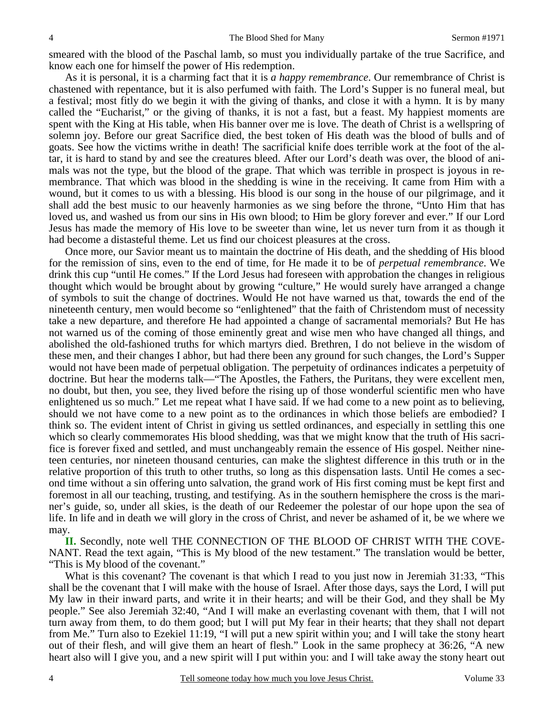smeared with the blood of the Paschal lamb, so must you individually partake of the true Sacrifice, and know each one for himself the power of His redemption.

As it is personal, it is a charming fact that it is *a happy remembrance*. Our remembrance of Christ is chastened with repentance, but it is also perfumed with faith. The Lord's Supper is no funeral meal, but a festival; most fitly do we begin it with the giving of thanks, and close it with a hymn. It is by many called the "Eucharist," or the giving of thanks, it is not a fast, but a feast. My happiest moments are spent with the King at His table, when His banner over me is love. The death of Christ is a wellspring of solemn joy. Before our great Sacrifice died, the best token of His death was the blood of bulls and of goats. See how the victims writhe in death! The sacrificial knife does terrible work at the foot of the altar, it is hard to stand by and see the creatures bleed. After our Lord's death was over, the blood of animals was not the type, but the blood of the grape. That which was terrible in prospect is joyous in remembrance. That which was blood in the shedding is wine in the receiving. It came from Him with a wound, but it comes to us with a blessing. His blood is our song in the house of our pilgrimage, and it shall add the best music to our heavenly harmonies as we sing before the throne, "Unto Him that has loved us, and washed us from our sins in His own blood; to Him be glory forever and ever." If our Lord Jesus has made the memory of His love to be sweeter than wine, let us never turn from it as though it had become a distasteful theme. Let us find our choicest pleasures at the cross.

Once more, our Savior meant us to maintain the doctrine of His death, and the shedding of His blood for the remission of sins, even to the end of time, for He made it to be of *perpetual remembrance*. We drink this cup "until He comes." If the Lord Jesus had foreseen with approbation the changes in religious thought which would be brought about by growing "culture," He would surely have arranged a change of symbols to suit the change of doctrines. Would He not have warned us that, towards the end of the nineteenth century, men would become so "enlightened" that the faith of Christendom must of necessity take a new departure, and therefore He had appointed a change of sacramental memorials? But He has not warned us of the coming of those eminently great and wise men who have changed all things, and abolished the old-fashioned truths for which martyrs died. Brethren, I do not believe in the wisdom of these men, and their changes I abhor, but had there been any ground for such changes, the Lord's Supper would not have been made of perpetual obligation. The perpetuity of ordinances indicates a perpetuity of doctrine. But hear the moderns talk—"The Apostles, the Fathers, the Puritans, they were excellent men, no doubt, but then, you see, they lived before the rising up of those wonderful scientific men who have enlightened us so much." Let me repeat what I have said. If we had come to a new point as to believing, should we not have come to a new point as to the ordinances in which those beliefs are embodied? I think so. The evident intent of Christ in giving us settled ordinances, and especially in settling this one which so clearly commemorates His blood shedding, was that we might know that the truth of His sacrifice is forever fixed and settled, and must unchangeably remain the essence of His gospel. Neither nineteen centuries, nor nineteen thousand centuries, can make the slightest difference in this truth or in the relative proportion of this truth to other truths, so long as this dispensation lasts. Until He comes a second time without a sin offering unto salvation, the grand work of His first coming must be kept first and foremost in all our teaching, trusting, and testifying. As in the southern hemisphere the cross is the mariner's guide, so, under all skies, is the death of our Redeemer the polestar of our hope upon the sea of life. In life and in death we will glory in the cross of Christ, and never be ashamed of it, be we where we may.

**II.** Secondly, note well THE CONNECTION OF THE BLOOD OF CHRIST WITH THE COVE-NANT. Read the text again, "This is My blood of the new testament." The translation would be better, "This is My blood of the covenant."

What is this covenant? The covenant is that which I read to you just now in Jeremiah 31:33, "This shall be the covenant that I will make with the house of Israel. After those days, says the Lord, I will put My law in their inward parts, and write it in their hearts; and will be their God, and they shall be My people." See also Jeremiah 32:40, "And I will make an everlasting covenant with them, that I will not turn away from them, to do them good; but I will put My fear in their hearts; that they shall not depart from Me." Turn also to Ezekiel 11:19, "I will put a new spirit within you; and I will take the stony heart out of their flesh, and will give them an heart of flesh." Look in the same prophecy at 36:26, "A new heart also will I give you, and a new spirit will I put within you: and I will take away the stony heart out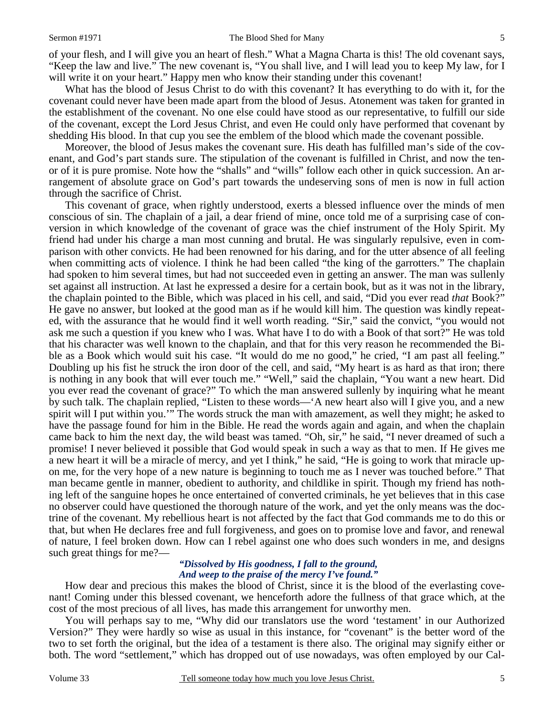of your flesh, and I will give you an heart of flesh." What a Magna Charta is this! The old covenant says, "Keep the law and live." The new covenant is, "You shall live, and I will lead you to keep My law, for I will write it on your heart." Happy men who know their standing under this covenant!

What has the blood of Jesus Christ to do with this covenant? It has everything to do with it, for the covenant could never have been made apart from the blood of Jesus. Atonement was taken for granted in the establishment of the covenant. No one else could have stood as our representative, to fulfill our side of the covenant, except the Lord Jesus Christ, and even He could only have performed that covenant by shedding His blood. In that cup you see the emblem of the blood which made the covenant possible.

Moreover, the blood of Jesus makes the covenant sure. His death has fulfilled man's side of the covenant, and God's part stands sure. The stipulation of the covenant is fulfilled in Christ, and now the tenor of it is pure promise. Note how the "shalls" and "wills" follow each other in quick succession. An arrangement of absolute grace on God's part towards the undeserving sons of men is now in full action through the sacrifice of Christ.

This covenant of grace, when rightly understood, exerts a blessed influence over the minds of men conscious of sin. The chaplain of a jail, a dear friend of mine, once told me of a surprising case of conversion in which knowledge of the covenant of grace was the chief instrument of the Holy Spirit. My friend had under his charge a man most cunning and brutal. He was singularly repulsive, even in comparison with other convicts. He had been renowned for his daring, and for the utter absence of all feeling when committing acts of violence. I think he had been called "the king of the garrotters." The chaplain had spoken to him several times, but had not succeeded even in getting an answer. The man was sullenly set against all instruction. At last he expressed a desire for a certain book, but as it was not in the library, the chaplain pointed to the Bible, which was placed in his cell, and said, "Did you ever read *that* Book?" He gave no answer, but looked at the good man as if he would kill him. The question was kindly repeated, with the assurance that he would find it well worth reading. "Sir," said the convict, "you would not ask me such a question if you knew who I was. What have I to do with a Book of that sort?" He was told that his character was well known to the chaplain, and that for this very reason he recommended the Bible as a Book which would suit his case. "It would do me no good," he cried, "I am past all feeling." Doubling up his fist he struck the iron door of the cell, and said, "My heart is as hard as that iron; there is nothing in any book that will ever touch me." "Well," said the chaplain, "You want a new heart. Did you ever read the covenant of grace?" To which the man answered sullenly by inquiring what he meant by such talk. The chaplain replied, "Listen to these words—'A new heart also will I give you, and a new spirit will I put within you.'" The words struck the man with amazement, as well they might; he asked to have the passage found for him in the Bible. He read the words again and again, and when the chaplain came back to him the next day, the wild beast was tamed. "Oh, sir," he said, "I never dreamed of such a promise! I never believed it possible that God would speak in such a way as that to men. If He gives me a new heart it will be a miracle of mercy, and yet I think," he said, "He is going to work that miracle upon me, for the very hope of a new nature is beginning to touch me as I never was touched before." That man became gentle in manner, obedient to authority, and childlike in spirit. Though my friend has nothing left of the sanguine hopes he once entertained of converted criminals, he yet believes that in this case no observer could have questioned the thorough nature of the work, and yet the only means was the doctrine of the covenant. My rebellious heart is not affected by the fact that God commands me to do this or that, but when He declares free and full forgiveness, and goes on to promise love and favor, and renewal of nature, I feel broken down. How can I rebel against one who does such wonders in me, and designs such great things for me?—

### *"Dissolved by His goodness, I fall to the ground, And weep to the praise of the mercy I've found."*

How dear and precious this makes the blood of Christ, since it is the blood of the everlasting covenant! Coming under this blessed covenant, we henceforth adore the fullness of that grace which, at the cost of the most precious of all lives, has made this arrangement for unworthy men.

You will perhaps say to me, "Why did our translators use the word 'testament' in our Authorized Version?" They were hardly so wise as usual in this instance, for "covenant" is the better word of the two to set forth the original, but the idea of a testament is there also. The original may signify either or both. The word "settlement," which has dropped out of use nowadays, was often employed by our Cal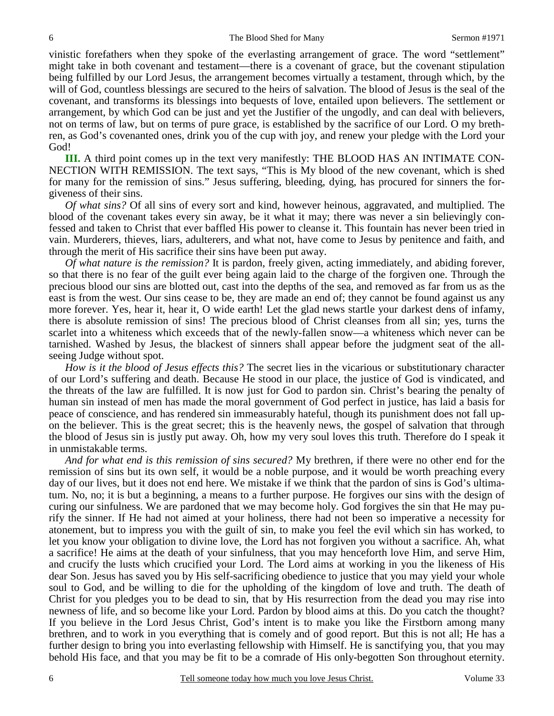vinistic forefathers when they spoke of the everlasting arrangement of grace. The word "settlement" might take in both covenant and testament—there is a covenant of grace, but the covenant stipulation being fulfilled by our Lord Jesus, the arrangement becomes virtually a testament, through which, by the will of God, countless blessings are secured to the heirs of salvation. The blood of Jesus is the seal of the covenant, and transforms its blessings into bequests of love, entailed upon believers. The settlement or arrangement, by which God can be just and yet the Justifier of the ungodly, and can deal with believers, not on terms of law, but on terms of pure grace, is established by the sacrifice of our Lord. O my brethren, as God's covenanted ones, drink you of the cup with joy, and renew your pledge with the Lord your God!

**III.** A third point comes up in the text very manifestly: THE BLOOD HAS AN INTIMATE CON-NECTION WITH REMISSION. The text says, "This is My blood of the new covenant, which is shed for many for the remission of sins." Jesus suffering, bleeding, dying, has procured for sinners the forgiveness of their sins.

*Of what sins?* Of all sins of every sort and kind, however heinous, aggravated, and multiplied. The blood of the covenant takes every sin away, be it what it may; there was never a sin believingly confessed and taken to Christ that ever baffled His power to cleanse it. This fountain has never been tried in vain. Murderers, thieves, liars, adulterers, and what not, have come to Jesus by penitence and faith, and through the merit of His sacrifice their sins have been put away.

*Of what nature is the remission?* It is pardon, freely given, acting immediately, and abiding forever, so that there is no fear of the guilt ever being again laid to the charge of the forgiven one. Through the precious blood our sins are blotted out, cast into the depths of the sea, and removed as far from us as the east is from the west. Our sins cease to be, they are made an end of; they cannot be found against us any more forever. Yes, hear it, hear it, O wide earth! Let the glad news startle your darkest dens of infamy, there is absolute remission of sins! The precious blood of Christ cleanses from all sin; yes, turns the scarlet into a whiteness which exceeds that of the newly-fallen snow—a whiteness which never can be tarnished. Washed by Jesus, the blackest of sinners shall appear before the judgment seat of the allseeing Judge without spot.

*How is it the blood of Jesus effects this?* The secret lies in the vicarious or substitutionary character of our Lord's suffering and death. Because He stood in our place, the justice of God is vindicated, and the threats of the law are fulfilled. It is now just for God to pardon sin. Christ's bearing the penalty of human sin instead of men has made the moral government of God perfect in justice, has laid a basis for peace of conscience, and has rendered sin immeasurably hateful, though its punishment does not fall upon the believer. This is the great secret; this is the heavenly news, the gospel of salvation that through the blood of Jesus sin is justly put away. Oh, how my very soul loves this truth. Therefore do I speak it in unmistakable terms.

*And for what end is this remission of sins secured?* My brethren, if there were no other end for the remission of sins but its own self, it would be a noble purpose, and it would be worth preaching every day of our lives, but it does not end here. We mistake if we think that the pardon of sins is God's ultimatum. No, no; it is but a beginning, a means to a further purpose. He forgives our sins with the design of curing our sinfulness. We are pardoned that we may become holy. God forgives the sin that He may purify the sinner. If He had not aimed at your holiness, there had not been so imperative a necessity for atonement, but to impress you with the guilt of sin, to make you feel the evil which sin has worked, to let you know your obligation to divine love, the Lord has not forgiven you without a sacrifice. Ah, what a sacrifice! He aims at the death of your sinfulness, that you may henceforth love Him, and serve Him, and crucify the lusts which crucified your Lord. The Lord aims at working in you the likeness of His dear Son. Jesus has saved you by His self-sacrificing obedience to justice that you may yield your whole soul to God, and be willing to die for the upholding of the kingdom of love and truth. The death of Christ for you pledges you to be dead to sin, that by His resurrection from the dead you may rise into newness of life, and so become like your Lord. Pardon by blood aims at this. Do you catch the thought? If you believe in the Lord Jesus Christ, God's intent is to make you like the Firstborn among many brethren, and to work in you everything that is comely and of good report. But this is not all; He has a further design to bring you into everlasting fellowship with Himself. He is sanctifying you, that you may behold His face, and that you may be fit to be a comrade of His only-begotten Son throughout eternity.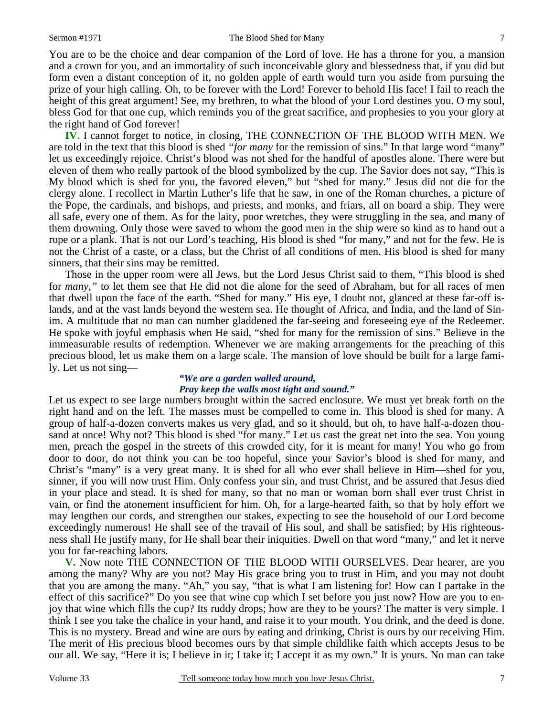You are to be the choice and dear companion of the Lord of love. He has a throne for you, a mansion and a crown for you, and an immortality of such inconceivable glory and blessedness that, if you did but form even a distant conception of it, no golden apple of earth would turn you aside from pursuing the prize of your high calling. Oh, to be forever with the Lord! Forever to behold His face! I fail to reach the height of this great argument! See, my brethren, to what the blood of your Lord destines you. O my soul, bless God for that one cup, which reminds you of the great sacrifice, and prophesies to you your glory at the right hand of God forever!

**IV.** I cannot forget to notice, in closing, THE CONNECTION OF THE BLOOD WITH MEN. We are told in the text that this blood is shed *"for many* for the remission of sins." In that large word "many" let us exceedingly rejoice. Christ's blood was not shed for the handful of apostles alone. There were but eleven of them who really partook of the blood symbolized by the cup. The Savior does not say, "This is My blood which is shed for you, the favored eleven," but "shed for many." Jesus did not die for the clergy alone. I recollect in Martin Luther's life that he saw, in one of the Roman churches, a picture of the Pope, the cardinals, and bishops, and priests, and monks, and friars, all on board a ship. They were all safe, every one of them. As for the laity, poor wretches, they were struggling in the sea, and many of them drowning. Only those were saved to whom the good men in the ship were so kind as to hand out a rope or a plank. That is not our Lord's teaching, His blood is shed "for many," and not for the few. He is not the Christ of a caste, or a class, but the Christ of all conditions of men. His blood is shed for many sinners, that their sins may be remitted.

Those in the upper room were all Jews, but the Lord Jesus Christ said to them, "This blood is shed for *many,"* to let them see that He did not die alone for the seed of Abraham, but for all races of men that dwell upon the face of the earth. "Shed for many." His eye, I doubt not, glanced at these far-off islands, and at the vast lands beyond the western sea. He thought of Africa, and India, and the land of Sinim. A multitude that no man can number gladdened the far-seeing and foreseeing eye of the Redeemer. He spoke with joyful emphasis when He said, "shed for many for the remission of sins." Believe in the immeasurable results of redemption. Whenever we are making arrangements for the preaching of this precious blood, let us make them on a large scale. The mansion of love should be built for a large family. Let us not sing—

# *"We are a garden walled around, Pray keep the walls most tight and sound."*

Let us expect to see large numbers brought within the sacred enclosure. We must yet break forth on the right hand and on the left. The masses must be compelled to come in. This blood is shed for many. A group of half-a-dozen converts makes us very glad, and so it should, but oh, to have half-a-dozen thousand at once! Why not? This blood is shed "for many." Let us cast the great net into the sea. You young men, preach the gospel in the streets of this crowded city, for it is meant for many! You who go from door to door, do not think you can be too hopeful, since your Savior's blood is shed for many, and Christ's "many" is a very great many. It is shed for all who ever shall believe in Him—shed for you, sinner, if you will now trust Him. Only confess your sin, and trust Christ, and be assured that Jesus died in your place and stead. It is shed for many, so that no man or woman born shall ever trust Christ in vain, or find the atonement insufficient for him. Oh, for a large-hearted faith, so that by holy effort we may lengthen our cords, and strengthen our stakes, expecting to see the household of our Lord become exceedingly numerous! He shall see of the travail of His soul, and shall be satisfied; by His righteousness shall He justify many, for He shall bear their iniquities. Dwell on that word "many," and let it nerve you for far-reaching labors.

**V.** Now note THE CONNECTION OF THE BLOOD WITH OURSELVES. Dear hearer, are you among the many? Why are you not? May His grace bring you to trust in Him, and you may not doubt that you are among the many. "Ah," you say, "that is what I am listening for! How can I partake in the effect of this sacrifice?" Do you see that wine cup which I set before you just now? How are you to enjoy that wine which fills the cup? Its ruddy drops; how are they to be yours? The matter is very simple. I think I see you take the chalice in your hand, and raise it to your mouth. You drink, and the deed is done. This is no mystery. Bread and wine are ours by eating and drinking, Christ is ours by our receiving Him. The merit of His precious blood becomes ours by that simple childlike faith which accepts Jesus to be our all. We say, "Here it is; I believe in it; I take it; I accept it as my own." It is yours. No man can take